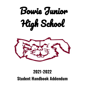



# **2021-2022 Student Handbook Addendum**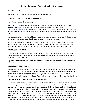#### **Junior High School Student Handbook Addendum**

## **ATTENDANCE**

Bowie Junior High School's official attendance time is 2<sup>nd</sup> period.

#### **PROCEDURES FOR REPORTING AN ABSENCE**

(Parent and Student Responsibility)

When a student is absent, the parent/guardian is required to report the absence and reason for the absence to the school attendance office on the day of the absence by noon. Contact [maria.jaraleno@bowieisd.net](mailto:maria.jaraleno@bowieisd.net) to report the absence. Please make sure that your child brings a written absence note upon return. The absence will not be excused until BJH has received the written excuse note.

Each semester, a student is allowed 5 absences to be excused by a parent note. After 5 absences in a semester, a doctor's note is required in order to excuse an absence for illness.

To assist our students, BJH provides an opportunity to excuse an absence for a student who feels ill, but not bad enough to go to a doctor, by visiting the school nurse. The school nurse has the authority to send a student home for illness and excuse the absence as though there had been a doctor's note.

#### **UNEXCUSED ABSENCES**

All absences are documented as unexcused until students have followed required procedures for making the absence excused (see above). Absences for personal business, private lessons, family vacations, etc. are unexcused.

Any absences not cleared within the three-week period after a student returns to school may remain unexcused.

#### **COMPULSORY ATTENDANCE**

Students must follow compulsory attendance laws and be present 90% of the time which is missing less than 18 days or 7920 minutes in a school year. Students that have 10 unexcused absences or parts of days (tardy/leave early) will be filed with Truancy Court. Bowie Junior High has a goal of 96% attendance for students on a weekly basis. Please help us meet our goal by being present and on time.

#### **CHECKING IN OR OUT OF SCHOOL DURING THE DAY**

A student whose tardiness to school has made him/her absent from one or more classes or who must leave school prior to the end of the school day must sign in or out of the office with acknowledgment and approval by the attendance clerk, assistant principal, or designee. Students will be released only to those given permission by virtue of designation in the student information section of Ascender. It is the responsibility of parents or guardians to keep all information in Ascender up to date and notify the front office if any changes are needed. Official picture identification will be required before a student can be released for pick up. If a student is to be picked up by someone other than a designated person on the emergency information, such arrangements are to be made in person, by phone, or written in a note by a parent or guardian of record in advance thereby giving the school office personnel ample notice of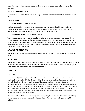such intentions. Such precautions are not in place as an inconvenience, but rather to protect the students.

#### **MEDICAL APPOINTMENTS**

Upon returning to school, the student must bring a note from the doctor/dentist to receive an excused absence.

#### **MAKEUP WORK**

#### **AFTER EXTRACURRICULAR ACTIVITY**

Students participating in extracurricular activities are required to plan ahead. It is the students' responsibility to complete any missed assignments. All assignments and tests are due upon the student's return to school as though the student had been present in class.

#### **AFTER ABSENCE (EXCUSED OR UNEXCUSED)**

Tests or assignments that were announced prior to the absence are due upon return to school. For work that was announced during the student's absence, students are responsible for arranging make-up work and make-up tests with their teacher. Students with absences are to be given the total number of days associated with the absence from school plus one day to turn in make-up work or to take tests missed while absent from school.

#### **AWARDS AND HONORS**

Bowie Junior High School has an awards ceremony in May. All parents are encouraged to attend this event.

#### **BEHAVIOR**

We are building tomorrow's leaders at Bowie Intermediate and want all students to reflect these leadership and character traits through high expectations of excellence. We will be instilling a self managing and positive environment with accountability and affirmations.

#### **CAFETERIA**

#### **SERVICES**

Bowie Junior High School participates in the National School Lunch Program and offers students nutritionally balanced breakfast and lunches daily. Breakfast is served free of charge to all students during 2nd period. BJH serves lunch to each of the three grade levels each day. Students may purchase lunches and may also purchase items ala-carte. Free and reduced lunch prices do not cover ala-carte purchases. Free and reduced-price lunches are available based on financial need. Information about a student's participation is confidential. Contact Wayne Walker, Assistant Director of Support Services (940) 689-2942 to apply. If a student's lunch account reaches a negative balance parents will be notified by the cafeteria department.

The district follows the federal and state guidelines regarding foods of minimal nutritional value being served or sold on school premises during the school day. [For more information, see policy CO (LEGAL).]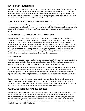#### **LEAVING CAMPUS DURING LUNCH**

Bowie Junior High School is a closed campus. Parents who wish to take their child to lunch, may do so by signing them out in the office and taking them from the building. We ask that you have your child back before the start of the next class so they will not be counted absent or tardy. Parents may also provide lunch for their child if they so choose. Please arrange for your child to pick up their lunch from the front office as school personnel will not be able to deliver lunches.

## **CHEATING/PLAGIARISM/ACADEMIC DISHONESTY**

Plagiarism is the use of another person's original ideas or writing as one's own without giving credit to the true author. Plagiarism will be considered cheating. A student that has engaged in cheating or other academic dishonesty may be given a zero for that assignment in addition to possible disciplinary action.

## **CLUBS AND ORGANIZATIONS-OFFICES & ELECTIONS**

Student elections for student council officers are held during the school year. These elections are facilitated by the sponsor of the organization. All students wishing to run for an office should contact the sponsor of the organization before the deadline. Student clubs and performing groups may establish codes of conduct and consequences for misbehavior that are stricter than those for students in general. If a violation is also a violation of school rules, the consequences specified by the school may apply in addition to any consequences specified by the organization. Coaches, directors, and/or sponsors will write expectations and consequences, and obtain signatures from both parents and participants so there are fewer misunderstandings regarding expectations.

# **CONFERENCES**

Students and parents may expect teachers to request a conference (1) if the student is not maintaining passing grades or achieving the expected level of performance, (2) if the student presents any other problem to his/her teacher, or (3) in any other case the teacher considers necessary.

A student or parent who has a concern, question, or wants information regarding their child's education should confer with the appropriate teacher, counselor, or principal. A parent who wishes to confer with a teacher may call the office to request an appointment during the teacher's conference period or request that the teacher call the parent during a conference period or at another mutually convenient time.

Should a problem arise with a teacher, you should first contact the teacher to schedule a meeting. Administration should not get involved unless the conference has failed to provide satisfaction. If a resolution has not occurred after the parent/teacher meeting, then the student, parent, and/or teacher should notify the principal. The principal will be glad to meet with those involved.

## **DESIGNATED HONORS/ADVANCED COURSES**

Students may request admittance to courses designated as honors or advanced classes. Established criteria must be met to become enrolled in these courses. The principal will make final decisions on enrollment and removal for these classes based on criteria met and/or maintained by the individual student. Criteria may involve, but is not limited to prior enrollment in a similar course, STAAR test scores, teacher recommendation, current success in honors classes as well as any other aspects that the principal sees as contributing factors.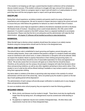If the student is not keeping up with rigor, a parent/teacher/student conference will be scheduled to discuss student success. If the student continues to struggle with rigor, removal from advanced classes may occur. Failure on a progress report or report card will result in a 3 week probation at which point they have until the next progress report or report card to get above passing.

# **DISCIPLINE**

During their school experience, we believe students and parents need to be aware of behavioral expectations and consequences. We ask for parents to respect decisions made by the school and work to ensure that your child follows the guidelines for behavior as cited in the BISD Code of Conduct.

Students at Bowie Junior High are expected to adhere to the behavior standards set forth in the Bowie ISD Student Code of Conduct. Disciplinary action could include detention, ISS, OSS, and/or DAEP placement. If a student is placed on the DAEP campus, there is a separate handbook to accompany that placement. Please note that this list is not exhaustive and the administrator will make the final determination. All chapter 37 offenses will be handled according to state declarations.

# **DISMISSAL**

When the bell rings to dismiss school, students should leave the campus in an orderly manner. Students using bus transportation should wait for the bus in the designated area.

# **DRESS AND GROOMING CODE**

The school's dress code is established to teach grooming and hygiene, prevent disruption, and minimize safety hazards. Dress code violations that present a danger to a student's health and safety, cause an interference with school work, or create a distraction or disruption will not be allowed. While we respect the students' desire to express themselves in their clothing and grooming styles, it is important to note that there should be a line of reasonable expectation for dress and appearance at school. We are also aware that not everyone will agree as to where that line should be drawn. Therefore, as the authority over the campus, the principal or designee will make final decisions about dress and grooming violations, as well as any other regulation pertaining to dress and/or attire. If the student is out of code he/she will be offered clothing if available or may contact a parent or guardian to bring them appropriate clothing.

Any items taken in violation of the dress or grooming code may remain in the custody of a school administrator until the end of the school day. Items not picked up by the student or parent on the last day of each grading period will be disposed of.

The administration of each campus will provide proper notification to students prior to any change in dress and grooming standards.

As soon as students enter school property, they are expected to meet the following guidelines:

# **REQUIRED DRESS:**

- Skirts, shorts, and dresses must be modest in length. These items must also be significantly longer than the top being worn. All undergarments must be covered even while bending or sitting.
- No pajamas or nightwear may be worn outside of designated days. All other dress code requirements must be met on these designated days.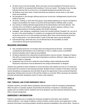- All shirts must cover the shoulder. Shirts must also cover the waistband of the pants worn so that the midriff is not exposed while bending or if arms are raised. The display of any cleavage indicates that the shirt is cut too low or not properly buttoned and should not be worn.
- All students must wear shoes. Closed toed shoes are preferred. House shoes or soft soled shoes are prohibited.
- No transparent or see through clothing may be worn at any time. Undergarments should not be visible at any time.
- All chains, clothing, or items that have gang or drug related significance or may be considered a weapon are prohibited. No chains of any kind will be permitted on billfolds, belts, or pants.
- Any writing on clothing deemed inappropriate by the administration will not be allowed. This includes, but is not limited to, anything promoting drugs, alcohol, weapons, violence, or any other negative behavior (including sayings with double meanings).
- Headgear: hats, bandanas, sweatbands, hoods from hooded clothing ("hoodies") etc. are not to be worn in the school building. For students not complying with this policy, teachers may take up the item and turn it in to the assistant principal's office. Items will be returned at the end of each 9-week period. If not claimed within a week of that date, items may be discarded.
- Exposed piercings, other than ears, are not allowed due to the possibility of unsafe circumstances during the instructional day.

## **REQUIRED GROOMING:**

- Hair, including facial hair, is to be kept clean and well-groomed at all times. Any hairstyle considered by administration to be a distraction or that is a safety concern is prohibited.
- Extreme hairstyles and/or make-up are prohibited.
- All tattoos deemed to be a distraction by administration must be covered. Examples of tattoos that will be covered are those that depict drug/tobacco products, offensive, vulgar, obscene, or violent images or language.
- Sunglasses may not be worn inside the school building, unless medically prescribed. Physician's instructions must be delivered to the campus administrator or designee.

Teachers are expected to direct students to correct any dress code violation as soon as it is noted and to document the correction to the assistant principal. Students found in violation of the dress code may receive disciplinary consequences and will either be given the opportunity to have someone bring them appropriate clothing and/or be sent to ISS until the violation is corrected. When necessary, the assistant principal will administer disciplinary action for dress code violations.

#### **DRILLS**

#### **FIRE, TORNADO, AND OTHER EMERGENCY DRILLS**

Students, teachers, and other district employees will participate in drills for emergency preparedness. When the alarm is sounded, students should follow the direction of teachers or marshals quickly, quietly, and in an orderly manner. Students will not be allowed to use their personal cell phones during drills or actual emergencies.

## **EMERGENCY INFORMATION**

Parents or guardians are to complete the necessary emergency information upon student's online enrollment. Any change of address, contact numbers, contact names, court paperwork, or other pertinent information concerning students should be reported immediately to the school office. Parents or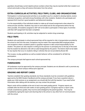guardians should keep current daytime phone numbers where they may be reached while their student is at school and emails so they will receive information from the school.

## **EXTRA-CURRICULAR ACTIVITIES, FIELD TRIPS, CLUBS, AND ORGANIZATIONS**

Participation in school-sponsored activities is an excellent way for a student to develop talents, receive individual recognition, and build strong friendships with other students. Students who participate and represent BJH must be in good academic and behavioral standing.

It is the responsibility of the individual student to make-up all missed assignments when absent for extracurricular activities. Students may want to work ahead and do the assignments before the trip when possible. All students assigned to AEP will not be able to participate in these types of activities until their AEP assignment has been completed.

Students participating in UIL activities may be subjected to random drug screenings.

#### **FIELD TRIPS**

Students who participate in school-sponsored trips will be required to ride in transportation provided by the school to and from the event. Exceptions may be made if the responsible BISD employee allows rare exceptions where a student's parent or guardian requests to take control/responsibility for the student. The parent can also request in writing (to the sponsor or principal) prior to the day of the event that the student be allowed to ride with an adult designated by the parent. The District shall not be liable for any injuries that occur to students riding in vehicles that are not provided by Bowie ISD.

The no-pass, no-play guidelines as well as student behavior will be considered for all field trip participation.

The campus principal shall approve each school-sponsored trip.

## **FUNDRAISERS**

All fundraisers must be approved by the campus principal. Students are not allowed to sell or promote any product on the school campus without prior approval.

#### **GRADING AND REPORT CARDS**

Teachers establish their grading standards, but those standards must be consistent with guidelines approved by the BISD Student Handbook and the campus principal. If you have a question about a grade your child receives on an assignment, you should talk first with the teacher. If you need further information after talking with the teacher, you may contact the principal.

Report cards will be available at the end of each nine-week grading period. Progress reports are available after the third and sixth weeks of each grading period. If progress reports or report cards include unsatisfactory grades, they must be acknowledged by the parent/guardian. This may be completed by signing the report and returning that to the school or any other form of communication with the school.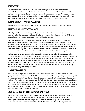## **HOMEWORK**

Assigned homework will reinforce skills and concepts taught in class and work on student responsibility and initiative to better themselves. Homework is to be used to check for understanding and to provide feedback to the students. Homework will have value to your child's academic success and should result in higher performance. Homework may be given as a grade that is recorded in the grade book. Regardless of an assigned grade, completion of the work is the expectation.

## **HUMAN GROWTH AND DEVELOPMENT**

Students may be offered special human growth and development courses throughout the year.

# **ILLNESS OR INJURY AT SCHOOL**

BJH will promptly attempt to notify parents, guardians, and/or a designated emergency contact if we have knowledge that a student has been injured or has become ill at school. In addition, BJH has a secluded area where students can stay if they are injured or become ill.

One of the forms parents complete at the beginning of each school year is a form authorizing designated school employees to give consent to medical treatment in case a student is injured at school or at school-related activity. The school will call the parent or guardian in such a situation and will also notify emergency medical personnel. It is important to understand that the school district is not responsible for any cost of medical treatment or services provided after an injury at a school related activity. We cannot and will not use public funds to pay individual student medical expenses.

Students often have to take prescription medication for a certain period of time as treatment for a medical condition. If at all possible, BJH asks that parents schedule the timing of the doses so that the student takes the medication at home. If students must take medication at school, parents need to make a written request to the administration and provide the medication to the nurse. Only authorized school employees are permitted to administer prescription medicines at school. We do not permit students to carry their own medications and self-administer. Students found in possession of any medication are subject to disciplinary action.

# **LIBRARY FACILITIES**

The Bowie Junior High School library is available for student research and study, with resources appropriate for the needs of all students. Students have access to the library during the school day and during posted hours before and after school. Students are responsible for materials checked out from the library. The student will be held accountable for lost or damaged resources. Lost or damaged books will be charged a replacement price of the book. If a student has a missing book they will not be able to check out additional books until the fine or replacement cost is paid. If the student damages a laptop or laptop bag that is issued to them from BISD, the student will be responsible for replacement or repair costs according to our Acceptable Use Policy.

# **LOST, DAMAGED OR STOLEN PERSONAL ITEMS**

We ask that you discourage your child from wearing or bringing expensive or irreplaceable items to school. Students are responsible for all of their personal possessions while at school or any school-sponsored event. Students are provided a locker in which to keep personal items and educational materials. Students should keep their locker locked at all times. It is important that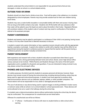students understand the school district is not responsible for any personal items that are lost, damaged, or stolen at school or a school-related activity.

#### **OUTSIDE FOOD OR DRINK**

Students should not share food or drinks at any time. Food will be eaten in the cafeteria or in a location designated by school employees. Parents may only provide outside food for their own children during lunch times.

Students may carry a water bottle (reusable or consumable bottle) with them and access it during class time as long as the bottle contains only water. Students who fill the bottle with any substance other than water will be asked to pour the liquid out and/or place the bottle in their locker. Repeated offenses will constitute violation of the student code of conduct and may result in confiscation of the bottle or referral to the assistant principal.

#### **PARENT CONFERENCES**

Students and parents may be asked to participate in a conference if their child is not passing, having issues in class, or for any other issued that is deemed necessary to discuss.

A student or parent who wants information or has a question/concern should confer with the appropriate teacher, counselor, or principal. A parent who wishes to confer with a teacher may call the office for an appointment during the teacher's conference period or request that the teacher call the parent during a conference period or at another mutually convenient time.

#### **PARENT INVOLVEMENT**

Both experience and research tell us that a student's education succeeds best when there is good communication and a strong partnership between home and school. Bowie Junior High School offers various avenues to be involved. PASS (Parents and Students Strong) is the name of the BJH parent organization and is available for all parents and guardians. If you are interested in being involved in any way, please contact the principal's office.

# **PHONES AND ELECTRONIC DEVICES**

For safety purposes, the district permits students to possess personal cell phones; however, these devices must remain turned off during the instructional day, including during all testing, unless they are being used for approved instructional purposes. A student must have approval to possess other telecommunications devices such as netbooks, laptops, tablets, or other portable computers. The school district will not be responsible for lost, stolen or damaged personal devices.

The use of cell phones or any device being used to capture images is strictly prohibited in locker rooms or restroom areas while at school or at a school-related or school-sponsored event. These devices will not be allowed to be out or used in the hallways during the school day.

If a student uses a telecommunications device without authorization during the school day, the device may be confiscated. The consequences for unauthorized use are listed below.

Offenses for unauthorized use will be as follows:

● 1<sup>st</sup> offense – Confiscation of device with return to student before or after school with a warning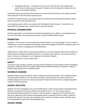● Subsequent offenses – Confiscation of device with a \$15 fee that must be paid by the parent when it is picked up by the parent. Students will not be allowed to retrieve their own device on subsequent offenses.

Confiscated telecommunications devices that are not retrieved by the student or the student's parents will be disposed of after the notice required by law.

In limited circumstances and in accordance with law, a student's personal telecommunications device may be searched by authorized personnel.

Any disciplinary action will be in accordance with the Student Code of Conduct. The district is not responsible for damaged, lost, or stolen telecommunication devices.

## **PHYSICAL EXAMINATIONS**

Physical examinations are required for all students participating in UIL athletic or cheerleading events. For more information concerning physical exams, contact the BISD Athletic Director.

#### **PROMOTION**

In grades 1–8, promotion to the next grade level shall be based on an overall average of 70 on a scale of 100 based on course-level, grade-level standards (essential knowledge and skills) for all subject areas and a grade of 70 or above in language arts and mathematics.

Additionally, if a student fails to demonstrate proficiency on a state-mandated assessment (STAAR), the student shall be provided accelerated instruction in accordance with state law. This could be summer school, tutoring, or participation in our Response to Intervention Program.

[For more information, see policy EIE(Local).]

#### **SAFETY**

From time to time, students, teachers, and other district employees will participate in drills of emergency procedures. When the alarm is sounded, students should follow the direction of teachers or others in charge quickly, quietly, and in an orderly manner.

#### **SCHEDULE CHANGES**

Schedule change requests should be made in writing to the school counselor. Most schedule changes will not be approved after the 10<sup>th</sup> day of each semester. School officials will accept a request for a schedule change at any time.The campus principal will make the final decisions on changes requested outside of these time periods.

## **SCHOOL FACILITIES**

Students are not to congregate in any school facility before or after school outside of designated times. Students are allowed in the school cafeteria and auditorium from 7:15-7:50 to ensure they are monitored after being dropped off on campus. Once the student is dropped off on the BJH grounds, they are not allowed to leave without the appropriate parent or guardian check out. When a student is finished with classes for the day, they should leave the campus in an orderly manner. Students using bus transportation should wait in their designated area.

## **SCHOOL HOURS**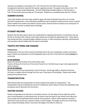Tutorials are available to all students from 7:30-7:50 and from 3:25-4:00 most school days. Arrangements should be made with the teacher regarding tutorials. The regular school day is from 7:55 until 3:25 on all days except Wednesday. The BJH Wednesday Schedule begins at 7:55 and ends at 2:40. The first class starts promptly at 7:55 everyday. Students are considered tardy after the 7:55 bell.

## **SUMMER SCHOOL**

Junior high students who have major academic gaps and need accelerated instruction, do not meet promotion requirements, or have attendance guidelines may be required to attend summer school. A parent will be notified if the student must attend summer school. Summer School normally occurs during the 1st three weeks of summer, so please plan accordingly.

#### **STUDENT WELFARE**

Students that feel they need to report any unsafe behavior regarding themselves or a classmate may use the link on the Bowie ISD or Bowie Junior High website and complete the appropriate form. These reports may include self harm, suicidal thoughts, bullying concerns, or other anonymous reporting. Administrators and counselors will be notified when the report is submitted.

#### **TRAFFIC PATTERNS AND PARKING**

#### **Parking Areas**

Parking areas in the rear of the school are intended only for the use of employees, vendors, and school buses. Parents are requested to use the designated area in the front of the school for parking **during** the school day.

#### **IN THE MORNING:**

Buses will unload at the back of the school (Gym Area).

Parents will drop off at the front of the school (Tarrant St.) or the field house or gym when appropriate for sports practices.

#### **IN THE AFTERNOON:**

Buses will load in the bus lane directly in front of the gym. No through traffic is allowed at that time. Car riders or walkers will exit through the front, rear, or side doors of the building. Please avoid double parking during release times.

#### **TRANSPORTATION**

Bowie ISD provides bus transportation for those students that qualify for transportation. This transportation may be revoked by the school for misbehavior and/or failure to follow the established rules, procedures and/or directives from the drivers.

#### **VISITING SCHOOL**

Parents and guardians are welcome to visit district schools. For the safety of those within the school and to avoid disruption of instructional time, all visitors must first report to the school's front office and must comply with all applicable district policies and procedures. Visitors will be required to present a valid driver's license and upon clearance, obtain a visitor's badge. This badge must be worn at all times. Upon exiting the building, visitors must return the badge to the office to check out.